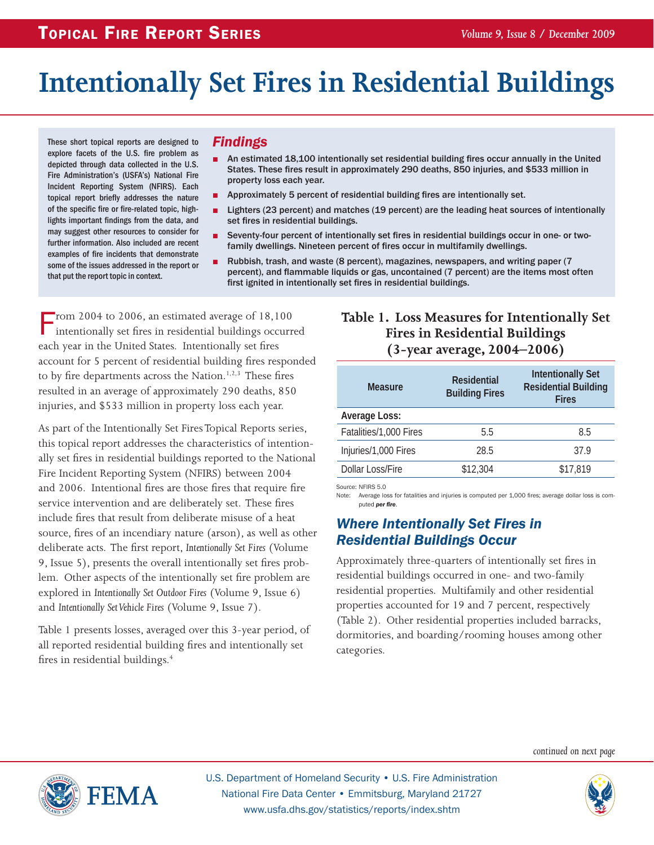# **Intentionally Set Fires in Residential Buildings**

These short topical reports are designed to explore facets of the U.S. fire problem as depicted through data collected in the U.S. Fire Administration's (USFA's) National Fire Incident Reporting System (NFIRS). Each topical report briefly addresses the nature of the specific fire or fire-related topic, highlights important findings from the data, and may suggest other resources to consider for further information. Also included are recent examples of fire incidents that demonstrate some of the issues addressed in the report or that put the report topic in context.

#### *Findings*

- An estimated 18,100 intentionally set residential building fires occur annually in the United States. These fires result in approximately 290 deaths, 850 injuries, and \$533 million in property loss each year.
- Approximately 5 percent of residential building fires are intentionally set.
- Lighters (23 percent) and matches (19 percent) are the leading heat sources of intentionally set fires in residential buildings.
- Seventy-four percent of intentionally set fires in residential buildings occur in one- or twofamily dwellings. Nineteen percent of fires occur in multifamily dwellings.
- Rubbish, trash, and waste (8 percent), magazines, newspapers, and writing paper (7 percent), and flammable liquids or gas, uncontained (7 percent) are the items most often first ignited in intentionally set fires in residential buildings.

From 2004 to 2006, an estimated average of  $18,100$ intentionally set fires in residential buildings occurred each year in the United States. Intentionally set fires account for 5 percent of residential building fires responded to by fire departments across the Nation.<sup>1,2,3</sup> These fires resulted in an average of approximately 290 deaths, 850 injuries, and \$533 million in property loss each year.

As part of the Intentionally Set Fires Topical Reports series, this topical report addresses the characteristics of intentionally set fires in residential buildings reported to the National Fire Incident Reporting System (NFIRS) between 2004 and 2006. Intentional fires are those fires that require fire service intervention and are deliberately set. These fires include fires that result from deliberate misuse of a heat source, fires of an incendiary nature (arson), as well as other deliberate acts. The first report, *Intentionally Set Fires* (Volume 9, Issue 5), presents the overall intentionally set fires problem. Other aspects of the intentionally set fire problem are explored in *Intentionally Set Outdoor Fires* (Volume 9, Issue 6) and *Intentionally Set Vehicle Fires* (Volume 9, Issue 7).

Table 1 presents losses, averaged over this 3-year period, of all reported residential building fires and intentionally set fires in residential buildings.4

## **Table 1. Loss Measures for Intentionally Set Fires in Residential Buildings (3-year average, 2004–2006)**

| <b>Measure</b>         | <b>Residential</b><br><b>Building Fires</b> | <b>Intentionally Set</b><br><b>Residential Building</b><br><b>Fires</b> |  |
|------------------------|---------------------------------------------|-------------------------------------------------------------------------|--|
| Average Loss:          |                                             |                                                                         |  |
| Fatalities/1,000 Fires | 5.5                                         | 8.5                                                                     |  |
| Injuries/1,000 Fires   | 28.5                                        | 37.9                                                                    |  |
| Dollar Loss/Fire       | \$12,304                                    | \$17,819                                                                |  |

Source: NFIRS 5.0

Note: Average loss for fatalities and injuries is computed per 1,000 fires; average dollar loss is computed *per fire*.

# *Where Intentionally Set Fires in Residential Buildings Occur*

Approximately three-quarters of intentionally set fires in residential buildings occurred in one- and two-family residential properties. Multifamily and other residential properties accounted for 19 and 7 percent, respectively (Table 2). Other residential properties included barracks, dormitories, and boarding/rooming houses among other categories.

*continued on next page*



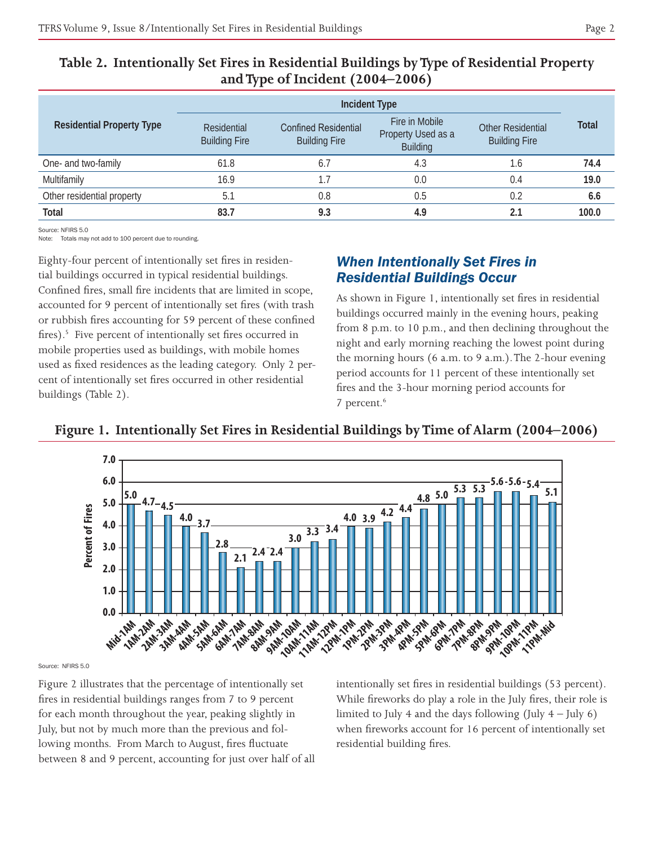|                                  |                                     | <b>Incident Type</b>                                |                                                         |                                                  |              |
|----------------------------------|-------------------------------------|-----------------------------------------------------|---------------------------------------------------------|--------------------------------------------------|--------------|
| <b>Residential Property Type</b> | Residential<br><b>Building Fire</b> | <b>Confined Residential</b><br><b>Building Fire</b> | Fire in Mobile<br>Property Used as a<br><b>Building</b> | <b>Other Residential</b><br><b>Building Fire</b> | <b>Total</b> |
| One- and two-family              | 61.8                                | $6.\overline{7}$                                    | 4.3                                                     | 1.6                                              | 74.4         |
| Multifamily                      | 16.9                                | $\cdot$ .7                                          | 0.0                                                     | 0.4                                              | 19.0         |
| Other residential property       | 5.1                                 | 0.8                                                 | 0.5                                                     | 0.2                                              | 6.6          |
| Total                            | 83.7                                | 9.3                                                 | 4.9                                                     | 2.1                                              | 100.0        |

## **Table 2. Intentionally Set Fires in Residential Buildings by Type of Residential Property and Type of Incident (2004–2006)**

Source: NEIRS 5.0

Note: Totals may not add to 100 percent due to rounding.

Eighty-four percent of intentionally set fires in residential buildings occurred in typical residential buildings. Confined fires, small fire incidents that are limited in scope, accounted for 9 percent of intentionally set fires (with trash or rubbish fires accounting for 59 percent of these confined fires).<sup>5</sup> Five percent of intentionally set fires occurred in mobile properties used as buildings, with mobile homes used as fixed residences as the leading category. Only 2 percent of intentionally set fires occurred in other residential buildings (Table 2).

# *When Intentionally Set Fires in Residential Buildings Occur*

As shown in Figure 1, intentionally set fires in residential buildings occurred mainly in the evening hours, peaking from 8 p.m. to 10 p.m., and then declining throughout the night and early morning reaching the lowest point during the morning hours (6 a.m. to 9 a.m.). The 2-hour evening period accounts for 11 percent of these intentionally set fires and the 3-hour morning period accounts for 7 percent.6



# **Figure 1. Intentionally Set Fires in Residential Buildings by Time of Alarm (2004–2006)**

Source: NFIRS 5.0

*AM-1AM-8AM-1AM-8AM-9AM***<br>
AM-4AM-9AM-6AM-1AM-8AM-9AM<br>
<b>PERIODE SPAM-1AM-8AM-9AM**<br> **EXAMPLE SPAMENT SPAMPLE SPAMPLE SPAMPLE SPAMPLE SPAMPLE SPAMPLE SPAMPLE SPAMPLE SPAMPLE SPAMPLE SPAMPLE SPAMP AM AND BUT AND AMPLANT**<br> **AM CAM AM BUT AND AND APM**<br> **CAM AM BUT AND AND APM**<br> **12PM**<br> **12PM**<br> **12PM**<br> **12PM**<br> **12PM**<br> **12PM**<br> **12PM**<br> **12PM**<br> **12PM**<br> **12PM**<br> **12PM**<br> **12PM**<br> **12PM**<br> **12PM**<br> **12PM**<br> **12PM**<br> Figure 2 illustrates that the percentage of intentionally set fires in residential buildings ranges from 7 to 9 percent for each month throughout the year, peaking slightly in July, but not by much more than the previous and following months. From March to August, fires fluctuate between 8 and 9 percent, accounting for just over half of all

 **7PM-8PM EXAMPLE AND THE SET OF THE CAMPLE AND THE CAMPLE AND THE CAMPLE AND SPAN CAMPLE AND SPAN CAMPLE AND SPAN CAMPLE AND SPAN CAMPLE AND SPAN CAMPLE AND SPAN CAMPLE AND SPAN CAMPLE AND SPAN CAMPLE AND SPAN CAMPLE AND SPAN CAMP 9PM-10PM 10PM-11PM** intentionally set fires in residential buildings (53 percent). While fireworks do play a role in the July fires, their role is limited to July 4 and the days following (July  $4$  – July 6) when fireworks account for 16 percent of intentionally set residential building fires.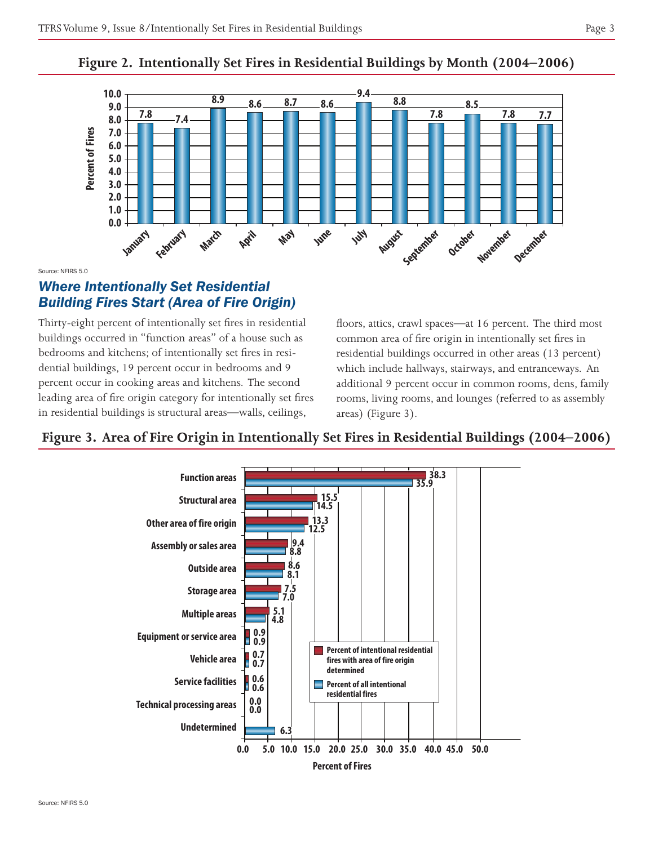### **Figure 2. Intentionally Set Fires in Residential Buildings by Month (2004–2006)**



Source: NFIRS 5.0

# *Where Intentionally Set Residential Building Fires Start (Area of Fire Origin)*

 buildings occurred in "function areas" of a house such as dential buildings, 19 percent occur in bedrooms and 9  percent occur in cooking areas and kitchens. The second  leading area of fire origin category for intentionally set fires Thirty-eight percent of intentionally set fires in residential bedrooms and kitchens; of intentionally set fires in resiin residential buildings is structural areas—walls, ceilings,

floors, attics, crawl spaces—at 16 percent. The third most common area of fire origin in intentionally set fires in residential buildings occurred in other areas (13 percent) which include hallways, stairways, and entranceways. An additional 9 percent occur in common rooms, dens, family rooms, living rooms, and lounges (referred to as assembly areas) (Figure 3).

# **Figure 3. Area of Fire Origin in Intentionally Set Fires in Residential Buildings (2004–2006)**

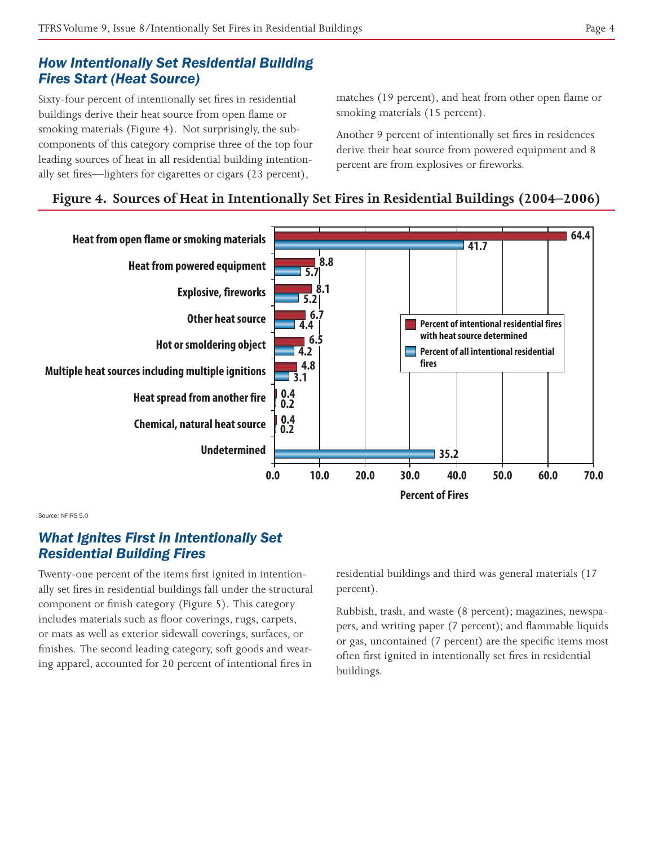# *How Intentionally Set Residential Building Fires Start (Heat Source)*

Sixty-four percent of intentionally set fires in residential buildings derive their heat source from open flame or smoking materials (Figure 4). Not surprisingly, the subcomponents of this category comprise three of the top four leading sources of heat in all residential building intentionally set fires—lighters for cigarettes or cigars (23 percent),

matches (19 percent), and heat from other open flame or smoking materials (15 percent).

Another 9 percent of intentionally set fires in residences derive their heat source from powered equipment and 8 percent are from explosives or fireworks.

# **Figure 4. Sources of Heat in Intentionally Set Fires in Residential Buildings (2004–2006)**



Source: NFIRS 5.0

# *What Ignites First in Intentionally Set Residential Building Fires*

Twenty-one percent of the items first ignited in intentionally set fires in residential buildings fall under the structural component or finish category (Figure 5). This category includes materials such as floor coverings, rugs, carpets, or mats as well as exterior sidewall coverings, surfaces, or finishes. The second leading category, soft goods and wearing apparel, accounted for 20 percent of intentional fires in

residential buildings and third was general materials (17 percent).

Rubbish, trash, and waste (8 percent); magazines, newspapers, and writing paper (7 percent); and flammable liquids or gas, uncontained (7 percent) are the specific items most often first ignited in intentionally set fires in residential buildings.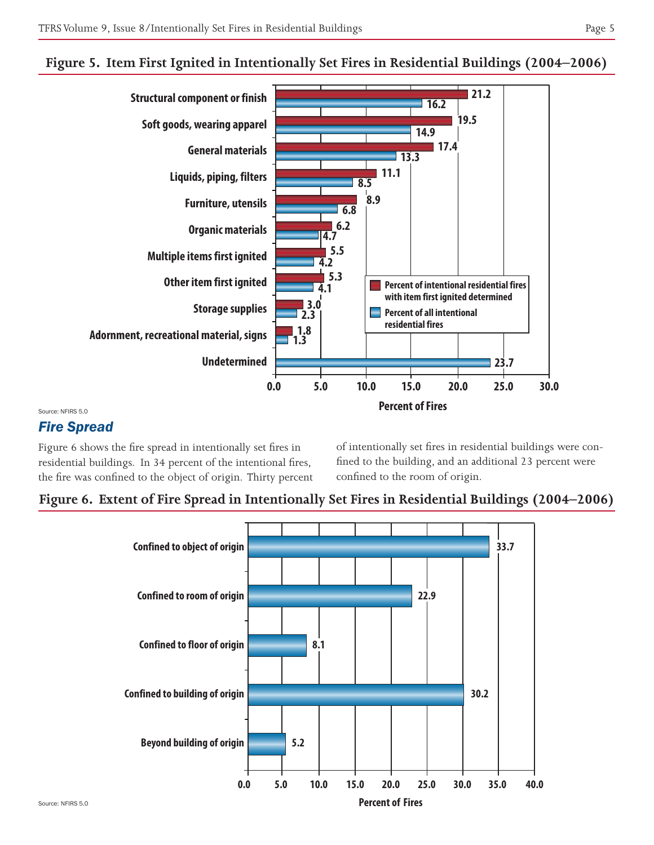

#### **Figure 5. Item First Ignited in Intentionally Set Fires in Residential Buildings (2004–2006)**

Source: NFIRS 5.0

# *Fire Spread*

Figure 6 shows the fire spread in intentionally set fires in residential buildings. In 34 percent of the intentional fires, the fire was confined to the object of origin. Thirty percent of intentionally set fires in residential buildings were confined to the building, and an additional 23 percent were confined to the room of origin.



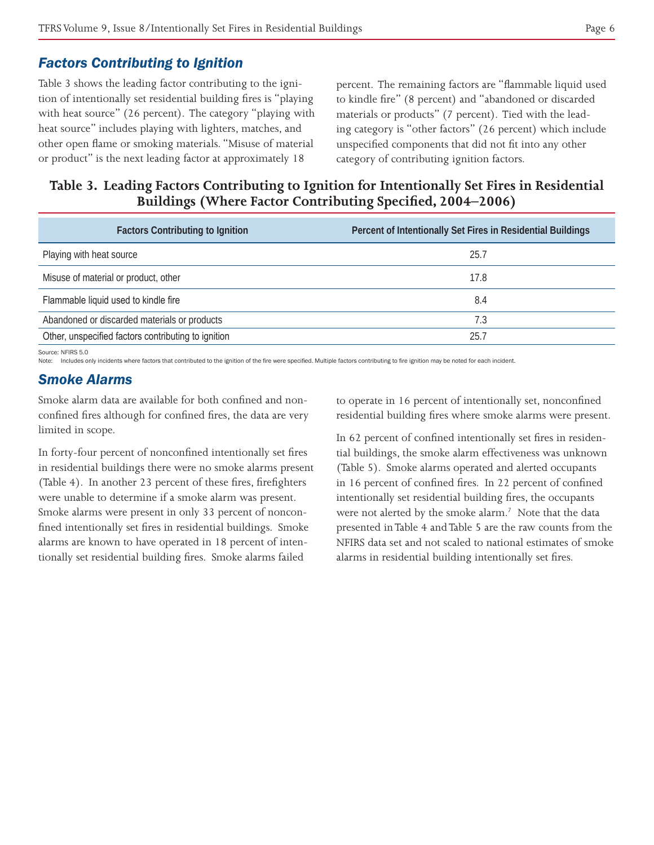### *Factors Contributing to Ignition*

Table 3 shows the leading factor contributing to the ignition of intentionally set residential building fires is "playing with heat source" (26 percent). The category "playing with heat source" includes playing with lighters, matches, and other open flame or smoking materials. "Misuse of material or product" is the next leading factor at approximately 18

percent. The remaining factors are "flammable liquid used to kindle fire" (8 percent) and "abandoned or discarded materials or products" (7 percent). Tied with the leading category is "other factors" (26 percent) which include unspecified components that did not fit into any other category of contributing ignition factors.

**Table 3. Leading Factors Contributing to Ignition for Intentionally Set Fires in Residential Buildings (Where Factor Contributing Specified, 2004–2006)**

| <b>Factors Contributing to Ignition</b>             | Percent of Intentionally Set Fires in Residential Buildings |
|-----------------------------------------------------|-------------------------------------------------------------|
| Playing with heat source                            | 25.7                                                        |
| Misuse of material or product, other                | 17.8                                                        |
| Flammable liquid used to kindle fire                | 8.4                                                         |
| Abandoned or discarded materials or products        | 7.3                                                         |
| Other, unspecified factors contributing to ignition | 25.7                                                        |
| Source: NFIRS 5.0                                   |                                                             |

Note: Includes only incidents where factors that contributed to the ignition of the fire were specified. Multiple factors contributing to fire ignition may be noted for each incident.

#### *Smoke Alarms*

Smoke alarm data are available for both confined and nonconfined fires although for confined fires, the data are very limited in scope.

In forty-four percent of nonconfined intentionally set fires in residential buildings there were no smoke alarms present (Table 4). In another 23 percent of these fires, firefighters were unable to determine if a smoke alarm was present. Smoke alarms were present in only 33 percent of nonconfined intentionally set fires in residential buildings. Smoke alarms are known to have operated in 18 percent of intentionally set residential building fires. Smoke alarms failed

to operate in 16 percent of intentionally set, nonconfined residential building fires where smoke alarms were present.

In 62 percent of confined intentionally set fires in residential buildings, the smoke alarm effectiveness was unknown (Table 5). Smoke alarms operated and alerted occupants in 16 percent of confined fires. In 22 percent of confined intentionally set residential building fires, the occupants were not alerted by the smoke alarm.<sup>7</sup> Note that the data presented in Table 4 and Table 5 are the raw counts from the NFIRS data set and not scaled to national estimates of smoke alarms in residential building intentionally set fires.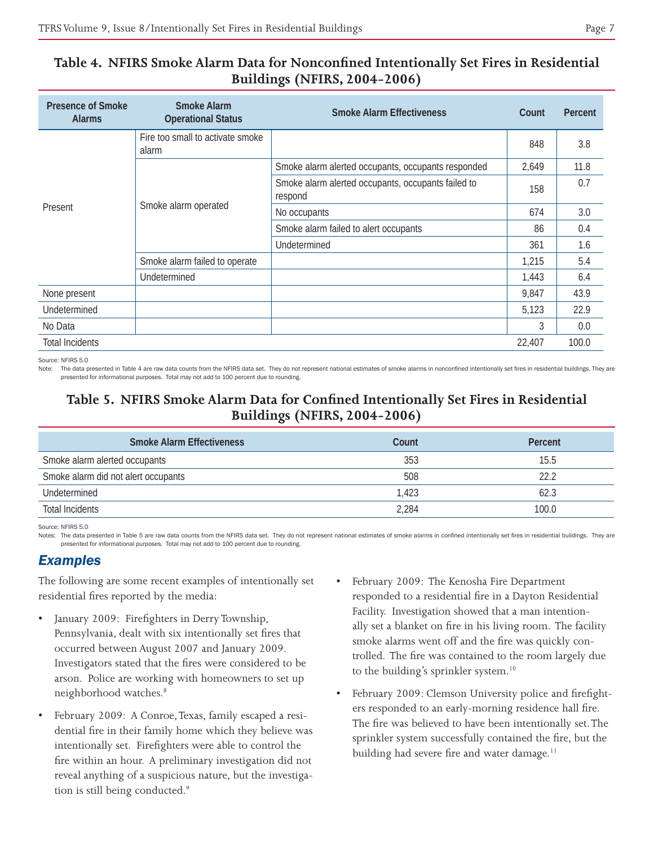# **Table 4. NFIRS Smoke Alarm Data for Nonconfined Intentionally Set Fires in Residential Buildings (NFIRS, 2004-2006)**

| <b>Presence of Smoke</b><br><b>Alarms</b>       | <b>Smoke Alarm</b><br><b>Operational Status</b> | <b>Smoke Alarm Effectiveness</b>                              | Count  | Percent |
|-------------------------------------------------|-------------------------------------------------|---------------------------------------------------------------|--------|---------|
|                                                 | Fire too small to activate smoke<br>alarm       |                                                               | 848    | 3.8     |
| Smoke alarm operated<br>Present<br>Undetermined |                                                 | Smoke alarm alerted occupants, occupants responded            | 2,649  | 11.8    |
|                                                 |                                                 | Smoke alarm alerted occupants, occupants failed to<br>respond | 158    | 0.7     |
|                                                 |                                                 | No occupants                                                  | 674    | 3.0     |
|                                                 |                                                 | Smoke alarm failed to alert occupants                         | 86     | 0.4     |
|                                                 |                                                 | Undetermined                                                  | 361    | 1.6     |
|                                                 | Smoke alarm failed to operate                   |                                                               | 1.215  | 5.4     |
|                                                 |                                                 |                                                               | 1,443  | 6.4     |
| None present                                    |                                                 |                                                               | 9,847  | 43.9    |
| Undetermined                                    |                                                 |                                                               | 5,123  | 22.9    |
| No Data                                         |                                                 |                                                               | 3      | 0.0     |
| <b>Total Incidents</b>                          |                                                 |                                                               | 22,407 | 100.0   |

#### Source: NFIRS 5.0

Note: The data presented in Table 4 are raw data counts from the NFIRS data set. They do not represent national estimates of smoke alarms in nonconfined intentionally set fires in residential buildings. They are presented for informational purposes. Total may not add to 100 percent due to rounding.

# **Table 5. NFIRS Smoke Alarm Data for Confined Intentionally Set Fires in Residential Buildings (NFIRS, 2004-2006)**

| <b>Smoke Alarm Effectiveness</b>    | Count | Percent |
|-------------------------------------|-------|---------|
| Smoke alarm alerted occupants       | 353   | 15.5    |
| Smoke alarm did not alert occupants | 508   | 22.2    |
| Undetermined                        | 1.423 | 62.3    |
| Total Incidents                     | 2.284 | 100.0   |

#### Source: NFIRS 5.0

Notes: The data presented in Table 5 are raw data counts from the NFIRS data set. They do not represent national estimates of smoke alarms in confined intentionally set fires in residential buildings. They are presented for informational purposes. Total may not add to 100 percent due to rounding.

#### *Examples*

The following are some recent examples of intentionally set residential fires reported by the media:

- January 2009: Firefighters in Derry Township, Pennsylvania, dealt with six intentionally set fires that occurred between August 2007 and January 2009. Investigators stated that the fires were considered to be arson. Police are working with homeowners to set up neighborhood watches.8
- February 2009: A Conroe, Texas, family escaped a residential fire in their family home which they believe was intentionally set. Firefighters were able to control the fire within an hour. A preliminary investigation did not reveal anything of a suspicious nature, but the investigation is still being conducted.9
- February 2009: The Kenosha Fire Department responded to a residential fire in a Dayton Residential Facility. Investigation showed that a man intentionally set a blanket on fire in his living room. The facility smoke alarms went off and the fire was quickly controlled. The fire was contained to the room largely due to the building's sprinkler system.<sup>10</sup>
- February 2009: Clemson University police and firefighters responded to an early-morning residence hall fire. The fire was believed to have been intentionally set. The sprinkler system successfully contained the fire, but the building had severe fire and water damage.<sup>11</sup>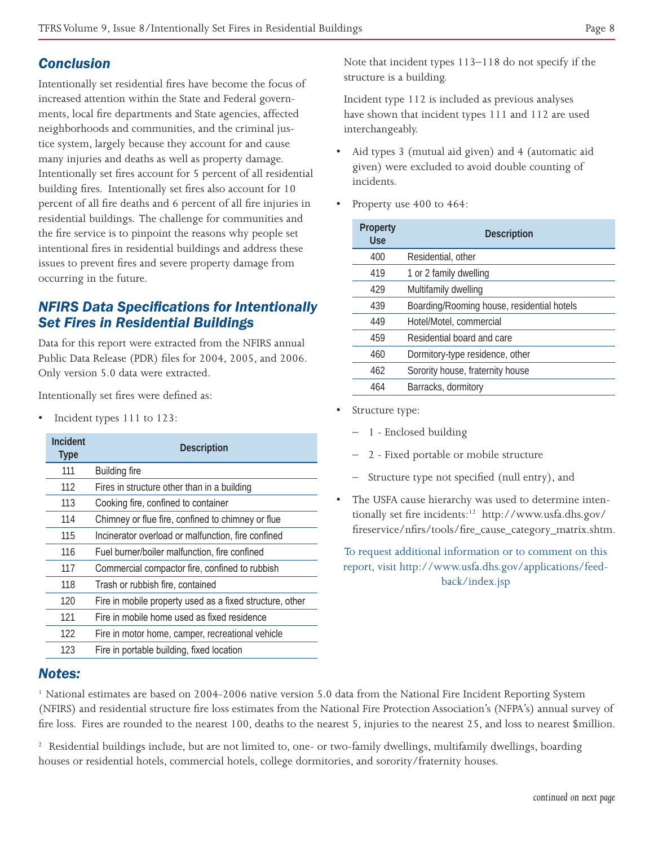# *Conclusion*

Intentionally set residential fires have become the focus of increased attention within the State and Federal governments, local fire departments and State agencies, affected neighborhoods and communities, and the criminal justice system, largely because they account for and cause many injuries and deaths as well as property damage. Intentionally set fires account for 5 percent of all residential building fires. Intentionally set fires also account for 10 percent of all fire deaths and 6 percent of all fire injuries in residential buildings. The challenge for communities and the fire service is to pinpoint the reasons why people set intentional fires in residential buildings and address these issues to prevent fires and severe property damage from occurring in the future.

# *NFIRS Data Specifications for Intentionally Set Fires in Residential Buildings*

Data for this report were extracted from the NFIRS annual Public Data Release (PDR) files for 2004, 2005, and 2006. Only version 5.0 data were extracted.

Intentionally set fires were defined as:

• Incident types 111 to 123:

| Incident<br><b>Type</b> | <b>Description</b>                                       |
|-------------------------|----------------------------------------------------------|
| 111                     | <b>Building fire</b>                                     |
| 112                     | Fires in structure other than in a building              |
| 113                     | Cooking fire, confined to container                      |
| 114                     | Chimney or flue fire, confined to chimney or flue        |
| 115                     | Incinerator overload or malfunction, fire confined       |
| 116                     | Fuel burner/boiler malfunction, fire confined            |
| 117                     | Commercial compactor fire, confined to rubbish           |
| 118                     | Trash or rubbish fire, contained                         |
| 120                     | Fire in mobile property used as a fixed structure, other |
| 121                     | Fire in mobile home used as fixed residence              |
| 122                     | Fire in motor home, camper, recreational vehicle         |
| 123                     | Fire in portable building, fixed location                |

Note that incident types 113–118 do not specify if the structure is a building.

Incident type 112 is included as previous analyses have shown that incident types 111 and 112 are used interchangeably.

- Aid types 3 (mutual aid given) and 4 (automatic aid given) were excluded to avoid double counting of incidents.
- Property use 400 to 464:

| <b>Property</b><br><b>Use</b> | <b>Description</b>                         |
|-------------------------------|--------------------------------------------|
| 400                           | Residential, other                         |
| 419                           | 1 or 2 family dwelling                     |
| 429                           | Multifamily dwelling                       |
| 439                           | Boarding/Rooming house, residential hotels |
| 449                           | Hotel/Motel, commercial                    |
| 459                           | Residential board and care                 |
| 460                           | Dormitory-type residence, other            |
| 462                           | Sorority house, fraternity house           |
| 464                           | Barracks, dormitory                        |

- Structure type:
	- 1 Enclosed building
	- 2 Fixed portable or mobile structure
	- Structure type not specified (null entry), and
- The USFA cause hierarchy was used to determine intentionally set fire incidents:12 http://www.usfa.dhs.gov/ fireservice/nfirs/tools/fire\_cause\_category\_matrix.shtm.

To request additional information or to comment on this report, visit http://www.usfa.dhs.gov/applications/feedback/index.jsp

### *Notes:*

1 National estimates are based on 2004-2006 native version 5.0 data from the National Fire Incident Reporting System (NFIRS) and residential structure fire loss estimates from the National Fire Protection Association's (NFPA's) annual survey of fire loss. Fires are rounded to the nearest 100, deaths to the nearest 5, injuries to the nearest 25, and loss to nearest \$million.

<sup>2</sup> Residential buildings include, but are not limited to, one- or two-family dwellings, multifamily dwellings, boarding houses or residential hotels, commercial hotels, college dormitories, and sorority/fraternity houses.